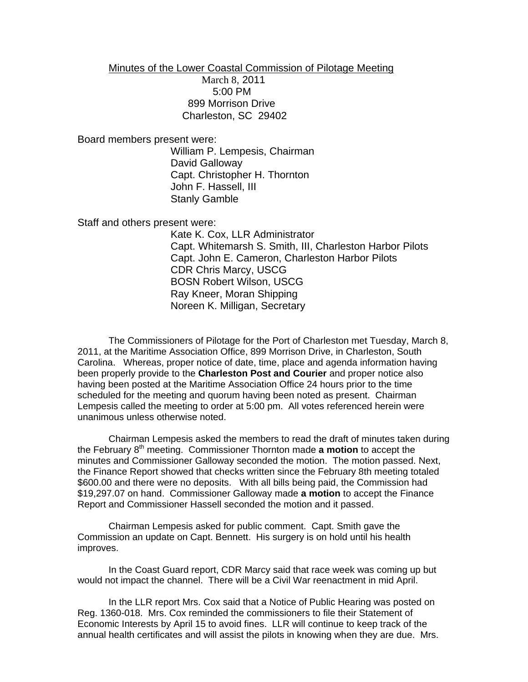Minutes of the Lower Coastal Commission of Pilotage Meeting March 8, 2011 5:00 PM 899 Morrison Drive Charleston, SC 29402

Board members present were:

William P. Lempesis, Chairman David Galloway Capt. Christopher H. Thornton John F. Hassell, III Stanly Gamble

Staff and others present were:

Kate K. Cox, LLR Administrator Capt. Whitemarsh S. Smith, III, Charleston Harbor Pilots Capt. John E. Cameron, Charleston Harbor Pilots CDR Chris Marcy, USCG BOSN Robert Wilson, USCG Ray Kneer, Moran Shipping Noreen K. Milligan, Secretary

The Commissioners of Pilotage for the Port of Charleston met Tuesday, March 8, 2011, at the Maritime Association Office, 899 Morrison Drive, in Charleston, South Carolina. Whereas, proper notice of date, time, place and agenda information having been properly provide to the **Charleston Post and Courier** and proper notice also having been posted at the Maritime Association Office 24 hours prior to the time scheduled for the meeting and quorum having been noted as present. Chairman Lempesis called the meeting to order at 5:00 pm. All votes referenced herein were unanimous unless otherwise noted.

Chairman Lempesis asked the members to read the draft of minutes taken during the February 8<sup>th</sup> meeting. Commissioner Thornton made **a motion** to accept the minutes and Commissioner Galloway seconded the motion. The motion passed. Next, the Finance Report showed that checks written since the February 8th meeting totaled \$600.00 and there were no deposits. With all bills being paid, the Commission had \$19,297.07 on hand. Commissioner Galloway made **a motion** to accept the Finance Report and Commissioner Hassell seconded the motion and it passed.

Chairman Lempesis asked for public comment. Capt. Smith gave the Commission an update on Capt. Bennett. His surgery is on hold until his health improves.

In the Coast Guard report, CDR Marcy said that race week was coming up but would not impact the channel. There will be a Civil War reenactment in mid April.

In the LLR report Mrs. Cox said that a Notice of Public Hearing was posted on Reg. 1360-018. Mrs. Cox reminded the commissioners to file their Statement of Economic Interests by April 15 to avoid fines. LLR will continue to keep track of the annual health certificates and will assist the pilots in knowing when they are due. Mrs.